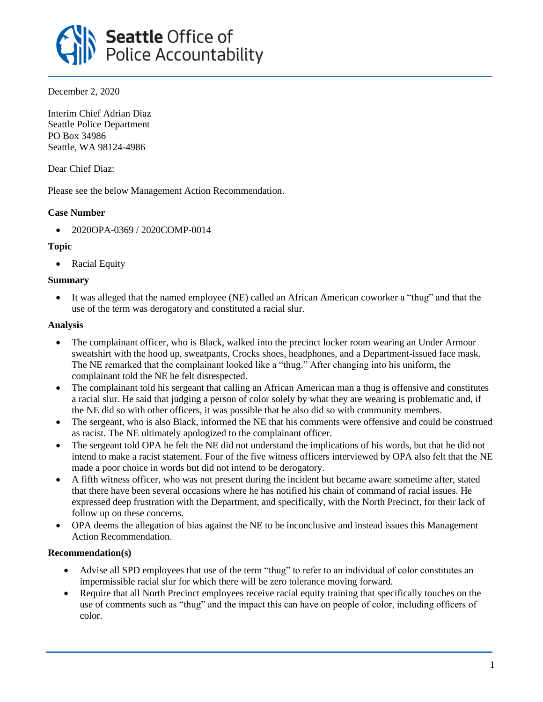

December 2, 2020

Interim Chief Adrian Diaz Seattle Police Department PO Box 34986 Seattle, WA 98124-4986

Dear Chief Diaz:

Please see the below Management Action Recommendation.

## **Case Number**

• 2020OPA-0369 / 2020COMP-0014

### **Topic**

• Racial Equity

### **Summary**

• It was alleged that the named employee (NE) called an African American coworker a "thug" and that the use of the term was derogatory and constituted a racial slur.

### **Analysis**

- The complainant officer, who is Black, walked into the precinct locker room wearing an Under Armour sweatshirt with the hood up, sweatpants, Crocks shoes, headphones, and a Department-issued face mask. The NE remarked that the complainant looked like a "thug." After changing into his uniform, the complainant told the NE he felt disrespected.
- The complainant told his sergeant that calling an African American man a thug is offensive and constitutes a racial slur. He said that judging a person of color solely by what they are wearing is problematic and, if the NE did so with other officers, it was possible that he also did so with community members.
- The sergeant, who is also Black, informed the NE that his comments were offensive and could be construed as racist. The NE ultimately apologized to the complainant officer.
- The sergeant told OPA he felt the NE did not understand the implications of his words, but that he did not intend to make a racist statement. Four of the five witness officers interviewed by OPA also felt that the NE made a poor choice in words but did not intend to be derogatory.
- A fifth witness officer, who was not present during the incident but became aware sometime after, stated that there have been several occasions where he has notified his chain of command of racial issues. He expressed deep frustration with the Department, and specifically, with the North Precinct, for their lack of follow up on these concerns.
- OPA deems the allegation of bias against the NE to be inconclusive and instead issues this Management Action Recommendation.

# **Recommendation(s)**

- Advise all SPD employees that use of the term "thug" to refer to an individual of color constitutes an impermissible racial slur for which there will be zero tolerance moving forward.
- Require that all North Precinct employees receive racial equity training that specifically touches on the use of comments such as "thug" and the impact this can have on people of color, including officers of color.